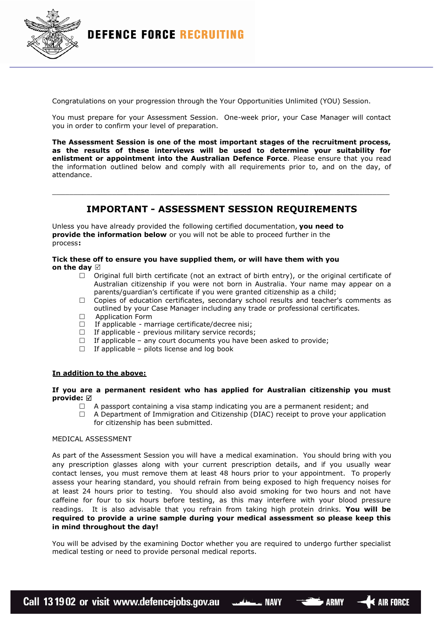

Congratulations on your progression through the Your Opportunities Unlimited (YOU) Session.

You must prepare for your Assessment Session. One-week prior, your Case Manager will contact you in order to confirm your level of preparation.

**The Assessment Session is one of the most important stages of the recruitment process, as the results of these interviews will be used to determine your suitability for enlistment or appointment into the Australian Defence Force**. Please ensure that you read the information outlined below and comply with all requirements prior to, and on the day, of attendance.

## **IMPORTANT - ASSESSMENT SESSION REQUIREMENTS**

\_\_\_\_\_\_\_\_\_\_\_\_\_\_\_\_\_\_\_\_\_\_\_\_\_\_\_\_\_\_\_\_\_\_\_\_\_\_\_\_\_\_\_\_\_\_\_\_\_\_\_\_\_\_\_\_\_\_\_\_\_\_\_\_\_\_\_\_\_\_\_\_\_\_\_\_\_\_\_

Unless you have already provided the following certified documentation, **you need to provide the information below** or you will not be able to proceed further in the process**:**

# **Tick these off to ensure you have supplied them, or will have them with you**

- **on the day**
	- $\Box$  Original full birth certificate (not an extract of birth entry), or the original certificate of Australian citizenship if you were not born in Australia. Your name may appear on a parents/guardian's certificate if you were granted citizenship as a child;
	- $\Box$  Copies of education certificates, secondary school results and teacher's comments as outlined by your Case Manager including any trade or professional certificates.
	- $\Box$  Application Form
	- $\Box$  If applicable marriage certificate/decree nisi;
	- $\Box$  If applicable previous military service records;
	- $\Box$  If applicable any court documents you have been asked to provide;
	- $\Box$  If applicable pilots license and log book

## **In addition to the above:**

### **If you are a permanent resident who has applied for Australian citizenship you must provide:**

- $\Box$  A passport containing a visa stamp indicating you are a permanent resident; and
- $\Box$  A Department of Immigration and Citizenship (DIAC) receipt to prove your application for citizenship has been submitted.

#### MEDICAL ASSESSMENT

As part of the Assessment Session you will have a medical examination. You should bring with you any prescription glasses along with your current prescription details, and if you usually wear contact lenses, you must remove them at least 48 hours prior to your appointment. To properly assess your hearing standard, you should refrain from being exposed to high frequency noises for at least 24 hours prior to testing. You should also avoid smoking for two hours and not have caffeine for four to six hours before testing, as this may interfere with your blood pressure readings. It is also advisable that you refrain from taking high protein drinks. **You will be required to provide a urine sample during your medical assessment so please keep this in mind throughout the day!**

You will be advised by the examining Doctor whether you are required to undergo further specialist medical testing or need to provide personal medical reports.